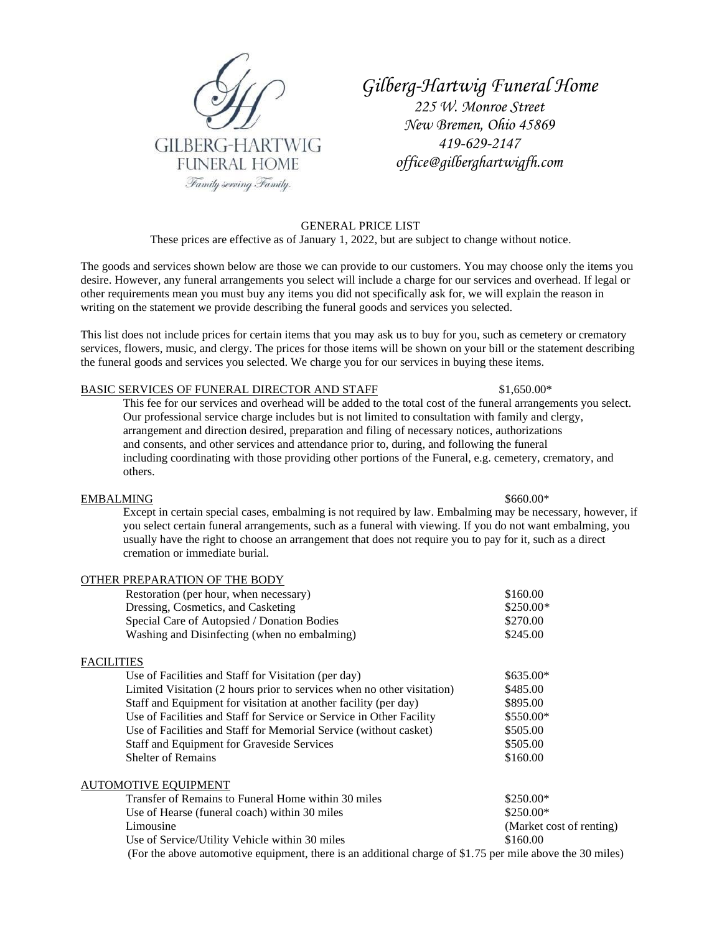

*Gilberg-Hartwig Funeral Home 225 W. Monroe Street New Bremen, Ohio 45869 419-629-2147 office@gilberghartwigfh.com*

GENERAL PRICE LIST These prices are effective as of January 1, 2022, but are subject to change without notice.

The goods and services shown below are those we can provide to our customers. You may choose only the items you desire. However, any funeral arrangements you select will include a charge for our services and overhead. If legal or other requirements mean you must buy any items you did not specifically ask for, we will explain the reason in writing on the statement we provide describing the funeral goods and services you selected.

This list does not include prices for certain items that you may ask us to buy for you, such as cemetery or crematory services, flowers, music, and clergy. The prices for those items will be shown on your bill or the statement describing the funeral goods and services you selected. We charge you for our services in buying these items.

# BASIC SERVICES OF FUNERAL DIRECTOR AND STAFF \$1,650.00\*

This fee for our services and overhead will be added to the total cost of the funeral arrangements you select. Our professional service charge includes but is not limited to consultation with family and clergy, arrangement and direction desired, preparation and filing of necessary notices, authorizations and consents, and other services and attendance prior to, during, and following the funeral including coordinating with those providing other portions of the Funeral, e.g. cemetery, crematory, and others.

### EMBALMING  $$660.00*$

Except in certain special cases, embalming is not required by law. Embalming may be necessary, however, if you select certain funeral arrangements, such as a funeral with viewing. If you do not want embalming, you usually have the right to choose an arrangement that does not require you to pay for it, such as a direct cremation or immediate burial.

| OTHER PREPARATION OF THE BODY                                           |                          |
|-------------------------------------------------------------------------|--------------------------|
| Restoration (per hour, when necessary)                                  | \$160.00                 |
| Dressing, Cosmetics, and Casketing                                      | $$250.00*$               |
| Special Care of Autopsied / Donation Bodies                             | \$270.00                 |
| Washing and Disinfecting (when no embalming)                            | \$245.00                 |
| FACILITIES                                                              |                          |
| Use of Facilities and Staff for Visitation (per day)                    | $$635.00*$               |
| Limited Visitation (2 hours prior to services when no other visitation) | \$485.00                 |
| Staff and Equipment for visitation at another facility (per day)        | \$895.00                 |
| Use of Facilities and Staff for Service or Service in Other Facility    | \$550.00*                |
| Use of Facilities and Staff for Memorial Service (without casket)       | \$505.00                 |
| <b>Staff and Equipment for Graveside Services</b>                       | \$505.00                 |
| <b>Shelter of Remains</b>                                               | \$160.00                 |
| <b>AUTOMOTIVE EQUIPMENT</b>                                             |                          |
| Transfer of Remains to Funeral Home within 30 miles                     | $$250.00*$               |
| Use of Hearse (funeral coach) within 30 miles                           | \$250.00*                |
| Limousine                                                               | (Market cost of renting) |
| Use of Service/Utility Vehicle within 30 miles                          | \$160.00                 |
|                                                                         |                          |

(For the above automotive equipment, there is an additional charge of \$1.75 per mile above the 30 miles)